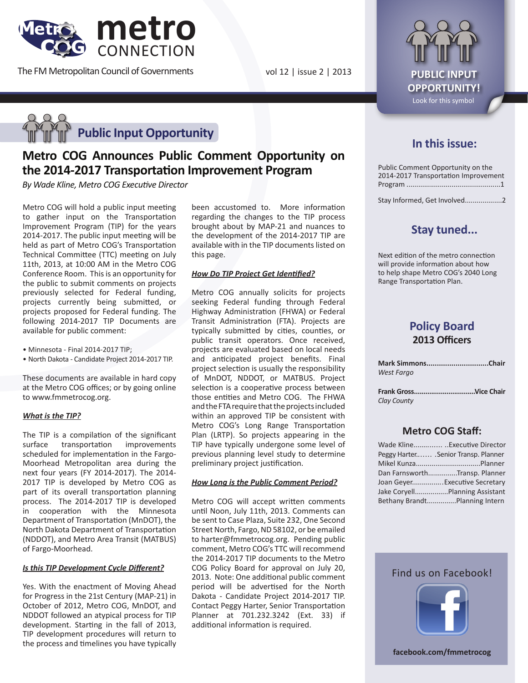

The FM Metropolitan Council of Governments

vol 12 | issue 2 | 2013 **PUBLIC INPUT** 



# **Metro COG Announces Public Comment Opportunity on the 2014-2017 Transportation Improvement Program**

*By Wade Kline, Metro COG Executive Director*

Metro COG will hold a public input meeting to gather input on the Transportation Improvement Program (TIP) for the years 2014-2017. The public input meeting will be held as part of Metro COG's Transportation Technical Committee (TTC) meeting on July 11th, 2013, at 10:00 AM in the Metro COG Conference Room. This is an opportunity for the public to submit comments on projects previously selected for Federal funding, projects currently being submitted, or projects proposed for Federal funding. The following 2014-2017 TIP Documents are available for public comment:

- Minnesota Final 2014-2017 TIP;
- North Dakota Candidate Project 2014-2017 TIP.

These documents are available in hard copy at the Metro COG offices; or by going online to www.fmmetrocog.org.

### *What is the TIP?*

The TIP is a compilation of the significant surface transportation improvements scheduled for implementation in the Fargo-Moorhead Metropolitan area during the next four years (FY 2014-2017). The 2014- 2017 TIP is developed by Metro COG as part of its overall transportation planning process. The 2014-2017 TIP is developed in cooperation with the Minnesota Department of Transportation (MnDOT), the North Dakota Department of Transportation (NDDOT), and Metro Area Transit (MATBUS) of Fargo-Moorhead.

#### *Is this TIP Development Cycle Different?*

Yes. With the enactment of Moving Ahead for Progress in the 21st Century (MAP-21) in October of 2012, Metro COG, MnDOT, and NDDOT followed an atypical process for TIP development. Starting in the fall of 2013, TIP development procedures will return to the process and timelines you have typically been accustomed to. More information regarding the changes to the TIP process brought about by MAP-21 and nuances to the development of the 2014-2017 TIP are available with in the TIP documents listed on this page.

### *How Do TIP Project Get Identified?*

Metro COG annually solicits for projects seeking Federal funding through Federal Highway Administration (FHWA) or Federal Transit Administration (FTA). Projects are typically submitted by cities, counties, or public transit operators. Once received, projects are evaluated based on local needs and anticipated project benefits. Final project selection is usually the responsibility of MnDOT, NDDOT, or MATBUS. Project selection is a cooperative process between those entities and Metro COG. The FHWA and the FTA require that the projects included within an approved TIP be consistent with Metro COG's Long Range Transportation Plan (LRTP). So projects appearing in the TIP have typically undergone some level of previous planning level study to determine preliminary project justification.

### *How Long is the Public Comment Period?*

Metro COG will accept written comments until Noon, July 11th, 2013. Comments can be sent to Case Plaza, Suite 232, One Second Street North, Fargo, ND 58102, or be emailed to harter@fmmetrocog.org. Pending public comment, Metro COG's TTC will recommend the 2014-2017 TIP documents to the Metro COG Policy Board for approval on July 20, 2013. Note: One additional public comment period will be advertised for the North Dakota - Candidate Project 2014-2017 TIP. Contact Peggy Harter, Senior Transportation Planner at 701.232.3242 (Ext. 33) if additional information is required.



## **In this issue:**

Public Comment Opportunity on the 2014-2017 Transportation Improvement Program ................................................1

Stay Informed, Get Involved...................2

## **Stay tuned...**

Next edition of the metro connection will provide information about how to help shape Metro COG's 2040 Long Range Transportation Plan.

### **Policy Board 2013 Officers**

| Mark SimmonsChair<br>West Fargo |  |
|---------------------------------|--|
| Clay County                     |  |

### **Metro COG Staff:**

| Wade KlineExecutive Director          |
|---------------------------------------|
| Peggy Harter . Senior Transp. Planner |
|                                       |
| Dan FarnsworthTransp. Planner         |
| Joan GeyerExecutive Secretary         |
| Jake CoryellPlanning Assistant        |
| Bethany BrandtPlanning Intern         |



Find us on Facebook!

**facebook.com/fmmetrocog**